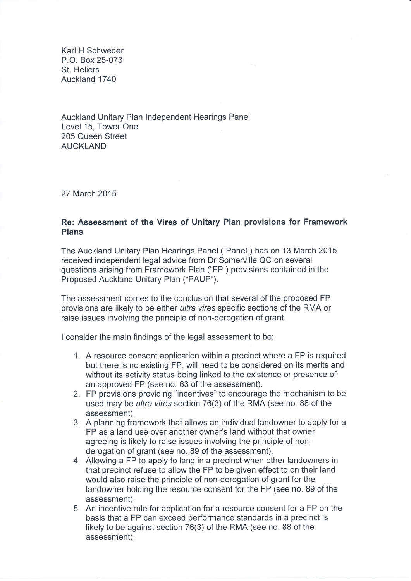Karl H Schweder P.O. Box 25-073 St. Heliers Auckland 1740

Auckland Unitary Plan Independent Hearings Pane Level 15, Tower One 205 Queen Street AUCKLAND

27 March 2015

## Re: Assessment of the Vires of Unitary Plan provisions for Framework Plans

The Auckland Unitary Plan Hearings Panel ("Panel") has on 13 March 2015 received independent legal advice from Dr Somerville QC on several questions arising from Framework Plan ("FP") provisions contained in the Proposed Auckland Unitary Plan ("PAUP").

The assessment comes to the conclusion that several of the proposed FP provisions are likely to be either ultra vires specific sections of the RMA or raise issues involving the principle of non-derogation of grant.

I consider the main findings of the legal assessment to be:

- 1. A resource consent application within a precinct where a FP is required but there is no existing FP, will need to be considered on its merits and without its activity status being linked to the existence or presence of an approved FP (see no. 63 of the assessment).
- 2. FP provisions providing "incentives" to encourage the mechanism to be used may be *ultra vires* section 76(3) of the RMA (see no. 88 of the assessment).
- 3. A planning framework that allows an individual landowner to apply for <sup>a</sup> FP as a land use over another owner's land without that owner agreeing is likely to raise issues involving the principle of nonderogation of grant (see no. 89 of the assessment).
- 4. Allowing a FP to apply to land in a precinct when other landowners in that precinct refuse to allow the FP to be given effect to on their land would also raise the principle of non-derogation of grant for the landowner holding the resource consent for the FP (see no. 89 of the assessment).
- 5. An incentive rule for application for a resource consent for a FP on the basis that a FP can exceed performance standards in a precinct is likely to be against section 76(3) of the RMA (see no. 88 of the assessment).